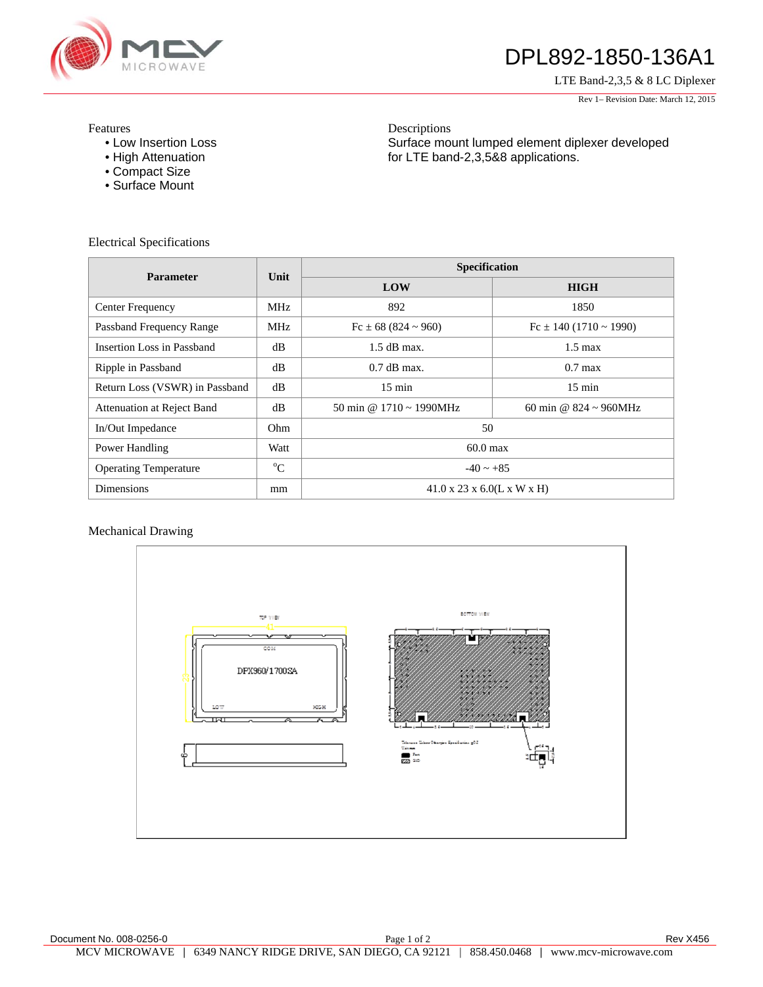

## DPL892-1850-136A1

LTE Band-2,3,5 & 8 LC Diplexer

Rev 1– Revision Date: March 12, 2015

## Features

- Low Insertion Loss
- High Attenuation
- Compact Size
- Surface Mount

Descriptions Surface mount lumped element diplexer developed for LTE band-2,3,5&8 applications.

Electrical Specifications

| <b>Parameter</b>               | Unit        | Specification                                    |                                    |
|--------------------------------|-------------|--------------------------------------------------|------------------------------------|
|                                |             | LOW                                              | <b>HIGH</b>                        |
| Center Frequency               | <b>MHz</b>  | 892                                              | 1850                               |
| Passband Frequency Range       | MHz         | $Fc \pm 68 (824 \approx 960)$                    | $Fc \pm 140(1710 \sim 1990)$       |
| Insertion Loss in Passband     | dB          | $1.5$ dB max.                                    | $1.5 \text{ max}$                  |
| Ripple in Passband             | dB          | $0.7$ dB max.                                    | $0.7$ max                          |
| Return Loss (VSWR) in Passband | dB          | $15 \text{ min}$                                 | $15 \text{ min}$                   |
| Attenuation at Reject Band     | dB          | 50 min @ $1710 \approx 1990 \text{MHz}$          | 60 min @ $824 \sim 960 \text{MHz}$ |
| In/Out Impedance               | Ohm         | 50                                               |                                    |
| Power Handling                 | Watt        | $60.0$ max                                       |                                    |
| <b>Operating Temperature</b>   | $\rm ^{o}C$ | $-40 \sim +85$                                   |                                    |
| Dimensions                     | mm          | $41.0 \times 23 \times 6.0(L \times W \times H)$ |                                    |

## Mechanical Drawing